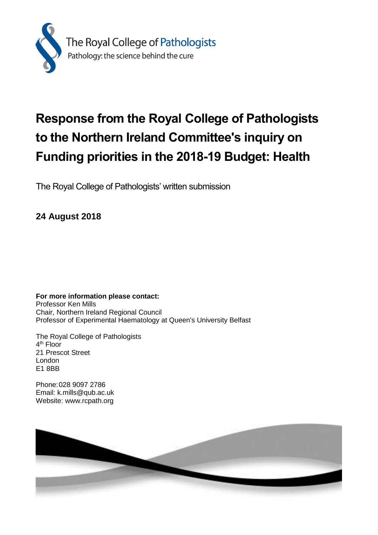

# **Response from the Royal College of Pathologists to the Northern Ireland Committee's inquiry on Funding priorities in the 2018-19 Budget: Health**

The Royal College of Pathologists' written submission

**24 August 2018**

**For more information please contact:** Professor Ken Mills Chair, Northern Ireland Regional Council Professor of Experimental Haematology at Queen's University Belfast

The Royal College of Pathologists 4<sup>th</sup> Floor 21 Prescot Street London E1 8BB

Phone:028 9097 2786 Email: k.mills@qub.ac.uk Website: www.rcpath.org

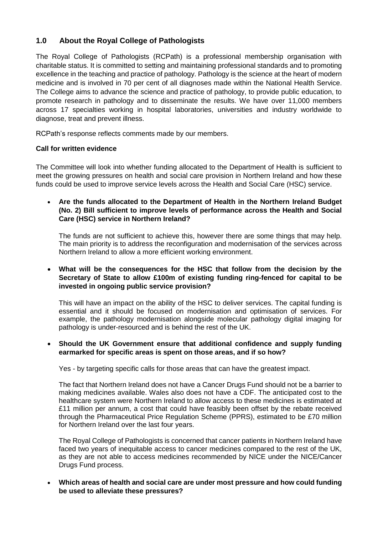## **1.0 About the Royal College of Pathologists**

The Royal College of Pathologists (RCPath) is a professional membership organisation with charitable status. It is committed to setting and maintaining professional standards and to promoting excellence in the teaching and practice of pathology. Pathology is the science at the heart of modern medicine and is involved in 70 per cent of all diagnoses made within the National Health Service. The College aims to advance the science and practice of pathology, to provide public education, to promote research in pathology and to disseminate the results. We have over 11,000 members across 17 specialties working in hospital laboratories, universities and industry worldwide to diagnose, treat and prevent illness.

RCPath's response reflects comments made by our members.

#### **Call for written evidence**

The Committee will look into whether funding allocated to the Department of Health is sufficient to meet the growing pressures on health and social care provision in Northern Ireland and how these funds could be used to improve service levels across the Health and Social Care (HSC) service.

 **Are the funds allocated to the Department of Health in the Northern Ireland Budget (No. 2) Bill sufficient to improve levels of performance across the Health and Social Care (HSC) service in Northern Ireland?**

The funds are not sufficient to achieve this, however there are some things that may help. The main priority is to address the reconfiguration and modernisation of the services across Northern Ireland to allow a more efficient working environment.

#### **What will be the consequences for the HSC that follow from the decision by the Secretary of State to allow £100m of existing funding ring-fenced for capital to be invested in ongoing public service provision?**

This will have an impact on the ability of the HSC to deliver services. The capital funding is essential and it should be focused on modernisation and optimisation of services. For example, the pathology modernisation alongside molecular pathology digital imaging for pathology is under-resourced and is behind the rest of the UK.

#### **Should the UK Government ensure that additional confidence and supply funding earmarked for specific areas is spent on those areas, and if so how?**

Yes - by targeting specific calls for those areas that can have the greatest impact.

The fact that Northern Ireland does not have a Cancer Drugs Fund should not be a barrier to making medicines available. Wales also does not have a CDF. The anticipated cost to the healthcare system were Northern Ireland to allow access to these medicines is estimated at £11 million per annum, a cost that could have feasibly been offset by the rebate received through the Pharmaceutical Price Regulation Scheme (PPRS), estimated to be £70 million for Northern Ireland over the last four years.

The Royal College of Pathologists is concerned that cancer patients in Northern Ireland have faced two years of inequitable access to cancer medicines compared to the rest of the UK, as they are not able to access medicines recommended by NICE under the NICE/Cancer Drugs Fund process.

 **Which areas of health and social care are under most pressure and how could funding be used to alleviate these pressures?**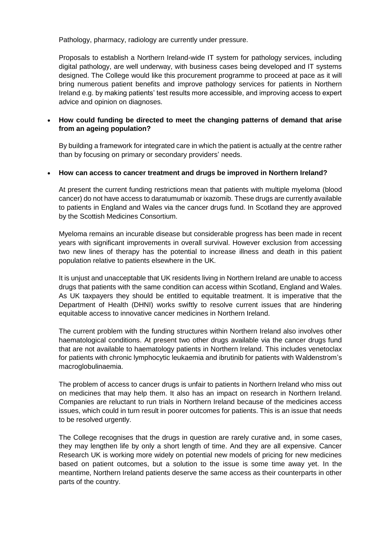Pathology, pharmacy, radiology are currently under pressure.

Proposals to establish a Northern Ireland-wide IT system for pathology services, including digital pathology, are well underway, with business cases being developed and IT systems designed. The College would like this procurement programme to proceed at pace as it will bring numerous patient benefits and improve pathology services for patients in Northern Ireland e.g. by making patients' test results more accessible, and improving access to expert advice and opinion on diagnoses.

#### **How could funding be directed to meet the changing patterns of demand that arise from an ageing population?**

By building a framework for integrated care in which the patient is actually at the centre rather than by focusing on primary or secondary providers' needs.

#### **How can access to cancer treatment and drugs be improved in Northern Ireland?**

At present the current funding restrictions mean that patients with multiple myeloma (blood cancer) do not have access to daratumumab or ixazomib. These drugs are currently available to patients in England and Wales via the cancer drugs fund. In Scotland they are approved by the Scottish Medicines Consortium.

Myeloma remains an incurable disease but considerable progress has been made in recent years with significant improvements in overall survival. However exclusion from accessing two new lines of therapy has the potential to increase illness and death in this patient population relative to patients elsewhere in the UK.

It is unjust and unacceptable that UK residents living in Northern Ireland are unable to access drugs that patients with the same condition can access within Scotland, England and Wales. As UK taxpayers they should be entitled to equitable treatment. It is imperative that the Department of Health (DHNI) works swiftly to resolve current issues that are hindering equitable access to innovative cancer medicines in Northern Ireland.

The current problem with the funding structures within Northern Ireland also involves other haematological conditions. At present two other drugs available via the cancer drugs fund that are not available to haematology patients in Northern Ireland. This includes venetoclax for patients with chronic lymphocytic leukaemia and ibrutinib for patients with Waldenstrom's macroglobulinaemia.

The problem of access to cancer drugs is unfair to patients in Northern Ireland who miss out on medicines that may help them. It also has an impact on research in Northern Ireland. Companies are reluctant to run trials in Northern Ireland because of the medicines access issues, which could in turn result in poorer outcomes for patients. This is an issue that needs to be resolved urgently.

The College recognises that the drugs in question are rarely curative and, in some cases, they may lengthen life by only a short length of time. And they are all expensive. Cancer Research UK is working more widely on potential new models of pricing for new medicines based on patient outcomes, but a solution to the issue is some time away yet. In the meantime, Northern Ireland patients deserve the same access as their counterparts in other parts of the country.